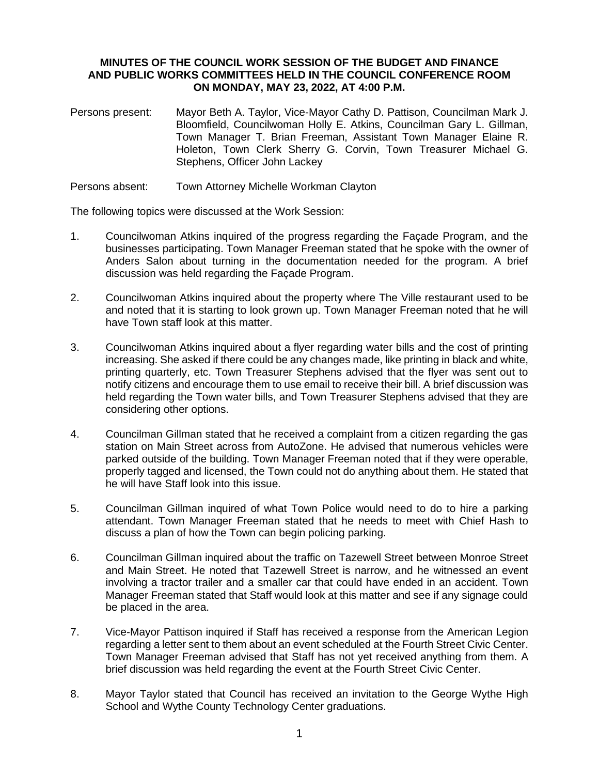## **MINUTES OF THE COUNCIL WORK SESSION OF THE BUDGET AND FINANCE AND PUBLIC WORKS COMMITTEES HELD IN THE COUNCIL CONFERENCE ROOM ON MONDAY, MAY 23, 2022, AT 4:00 P.M.**

- Persons present: Mayor Beth A. Taylor, Vice-Mayor Cathy D. Pattison, Councilman Mark J. Bloomfield, Councilwoman Holly E. Atkins, Councilman Gary L. Gillman, Town Manager T. Brian Freeman, Assistant Town Manager Elaine R. Holeton, Town Clerk Sherry G. Corvin, Town Treasurer Michael G. Stephens, Officer John Lackey
- Persons absent: Town Attorney Michelle Workman Clayton

The following topics were discussed at the Work Session:

- 1. Councilwoman Atkins inquired of the progress regarding the Façade Program, and the businesses participating. Town Manager Freeman stated that he spoke with the owner of Anders Salon about turning in the documentation needed for the program. A brief discussion was held regarding the Façade Program.
- 2. Councilwoman Atkins inquired about the property where The Ville restaurant used to be and noted that it is starting to look grown up. Town Manager Freeman noted that he will have Town staff look at this matter.
- 3. Councilwoman Atkins inquired about a flyer regarding water bills and the cost of printing increasing. She asked if there could be any changes made, like printing in black and white, printing quarterly, etc. Town Treasurer Stephens advised that the flyer was sent out to notify citizens and encourage them to use email to receive their bill. A brief discussion was held regarding the Town water bills, and Town Treasurer Stephens advised that they are considering other options.
- 4. Councilman Gillman stated that he received a complaint from a citizen regarding the gas station on Main Street across from AutoZone. He advised that numerous vehicles were parked outside of the building. Town Manager Freeman noted that if they were operable, properly tagged and licensed, the Town could not do anything about them. He stated that he will have Staff look into this issue.
- 5. Councilman Gillman inquired of what Town Police would need to do to hire a parking attendant. Town Manager Freeman stated that he needs to meet with Chief Hash to discuss a plan of how the Town can begin policing parking.
- 6. Councilman Gillman inquired about the traffic on Tazewell Street between Monroe Street and Main Street. He noted that Tazewell Street is narrow, and he witnessed an event involving a tractor trailer and a smaller car that could have ended in an accident. Town Manager Freeman stated that Staff would look at this matter and see if any signage could be placed in the area.
- 7. Vice-Mayor Pattison inquired if Staff has received a response from the American Legion regarding a letter sent to them about an event scheduled at the Fourth Street Civic Center. Town Manager Freeman advised that Staff has not yet received anything from them. A brief discussion was held regarding the event at the Fourth Street Civic Center.
- 8. Mayor Taylor stated that Council has received an invitation to the George Wythe High School and Wythe County Technology Center graduations.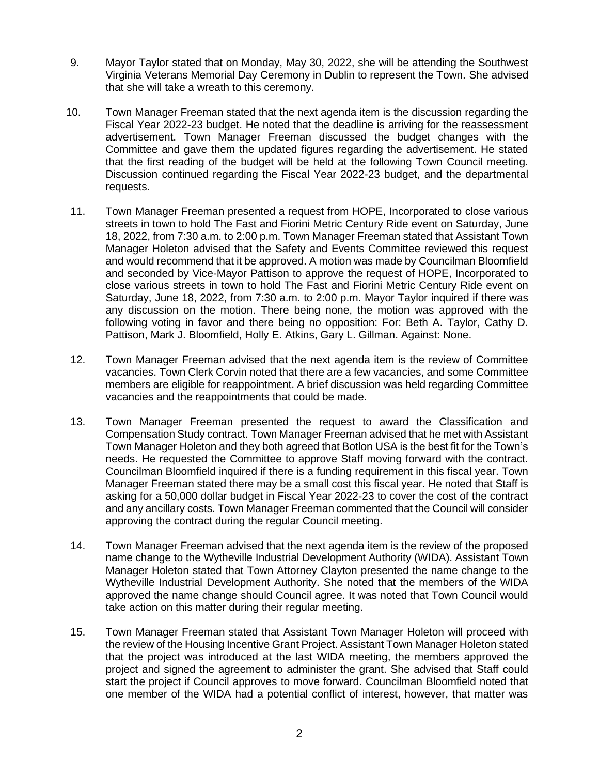- 9. Mayor Taylor stated that on Monday, May 30, 2022, she will be attending the Southwest Virginia Veterans Memorial Day Ceremony in Dublin to represent the Town. She advised that she will take a wreath to this ceremony.
- 10. Town Manager Freeman stated that the next agenda item is the discussion regarding the Fiscal Year 2022-23 budget. He noted that the deadline is arriving for the reassessment advertisement. Town Manager Freeman discussed the budget changes with the Committee and gave them the updated figures regarding the advertisement. He stated that the first reading of the budget will be held at the following Town Council meeting. Discussion continued regarding the Fiscal Year 2022-23 budget, and the departmental requests.
- 11. Town Manager Freeman presented a request from HOPE, Incorporated to close various streets in town to hold The Fast and Fiorini Metric Century Ride event on Saturday, June 18, 2022, from 7:30 a.m. to 2:00 p.m. Town Manager Freeman stated that Assistant Town Manager Holeton advised that the Safety and Events Committee reviewed this request and would recommend that it be approved. A motion was made by Councilman Bloomfield and seconded by Vice-Mayor Pattison to approve the request of HOPE, Incorporated to close various streets in town to hold The Fast and Fiorini Metric Century Ride event on Saturday, June 18, 2022, from 7:30 a.m. to 2:00 p.m. Mayor Taylor inquired if there was any discussion on the motion. There being none, the motion was approved with the following voting in favor and there being no opposition: For: Beth A. Taylor, Cathy D. Pattison, Mark J. Bloomfield, Holly E. Atkins, Gary L. Gillman. Against: None.
- 12. Town Manager Freeman advised that the next agenda item is the review of Committee vacancies. Town Clerk Corvin noted that there are a few vacancies, and some Committee members are eligible for reappointment. A brief discussion was held regarding Committee vacancies and the reappointments that could be made.
- 13. Town Manager Freeman presented the request to award the Classification and Compensation Study contract. Town Manager Freeman advised that he met with Assistant Town Manager Holeton and they both agreed that Botlon USA is the best fit for the Town's needs. He requested the Committee to approve Staff moving forward with the contract. Councilman Bloomfield inquired if there is a funding requirement in this fiscal year. Town Manager Freeman stated there may be a small cost this fiscal year. He noted that Staff is asking for a 50,000 dollar budget in Fiscal Year 2022-23 to cover the cost of the contract and any ancillary costs. Town Manager Freeman commented that the Council will consider approving the contract during the regular Council meeting.
- 14. Town Manager Freeman advised that the next agenda item is the review of the proposed name change to the Wytheville Industrial Development Authority (WIDA). Assistant Town Manager Holeton stated that Town Attorney Clayton presented the name change to the Wytheville Industrial Development Authority. She noted that the members of the WIDA approved the name change should Council agree. It was noted that Town Council would take action on this matter during their regular meeting.
- 15. Town Manager Freeman stated that Assistant Town Manager Holeton will proceed with the review of the Housing Incentive Grant Project. Assistant Town Manager Holeton stated that the project was introduced at the last WIDA meeting, the members approved the project and signed the agreement to administer the grant. She advised that Staff could start the project if Council approves to move forward. Councilman Bloomfield noted that one member of the WIDA had a potential conflict of interest, however, that matter was